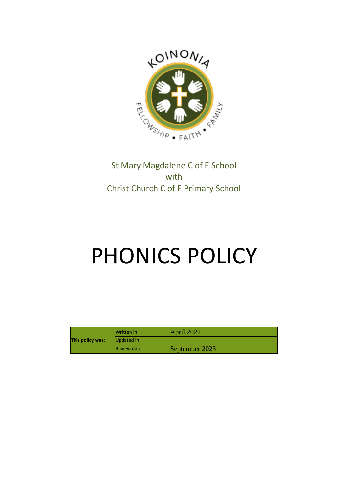

# St Mary Magdalene C of E School with Christ Church C of E Primary School

# PHONICS POLICY

| This policy was: | <b>IWritten</b> in  | $\Delta$ pril 2022 |
|------------------|---------------------|--------------------|
|                  | Updated in          |                    |
|                  | <b>IReview date</b> | September 2023     |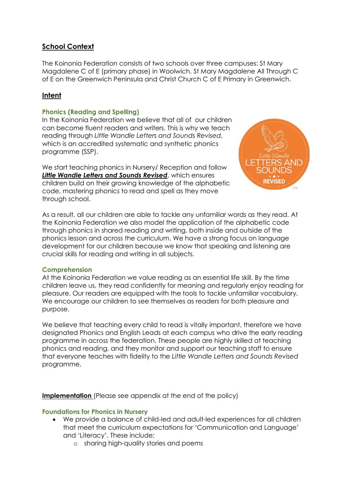## **School Context**

The Koinonia Federation consists of two schools over three campuses: St Mary Magdalene C of E (primary phase) in Woolwich, St Mary Magdalene All Through C of E on the Greenwich Peninsula and Christ Church C of E Primary in Greenwich.

# **Intent**

#### **Phonics (Reading and Spelling)**

In the Koinonia Federation we believe that all of our children can become fluent readers and writers. This is why we teach reading through *Little Wandle Letters and Sounds Revised*, which is an accredited systematic and synthetic phonics programme (SSP).

We start teaching phonics in Nursery/ Reception and follow *Little Wandle Letters and Sounds Revised*, which ensures children build on their growing knowledge of the alphabetic code, mastering phonics to read and spell as they move through school.



As a result, all our children are able to tackle any unfamiliar words as they read. At the Koinonia Federation we also model the application of the alphabetic code through phonics in shared reading and writing, both inside and outside of the phonics lesson and across the curriculum. We have a strong focus on language development for our children because we know that speaking and listening are crucial skills for reading and writing in all subjects.

#### **Comprehension**

At the Koinonia Federation we value reading as an essential life skill. By the time children leave us, they read confidently for meaning and regularly enjoy reading for pleasure. Our readers are equipped with the tools to tackle unfamiliar vocabulary. We encourage our children to see themselves as readers for both pleasure and purpose.

We believe that teaching every child to read is vitally important, therefore we have designated Phonics and English Leads at each campus who drive the early reading programme in across the federation. These people are highly skilled at teaching phonics and reading, and they monitor and support our teaching staff to ensure that everyone teaches with fidelity to the *Little Wandle Letters and Sounds Revised* programme.

**Implementation** (Please see appendix at the end of the policy)

#### **Foundations for Phonics in Nursery**

- We provide a balance of child-led and adult-led experiences for all children that meet the curriculum expectations for 'Communication and Language' and 'Literacy'. These include:
	- o sharing high-quality stories and poems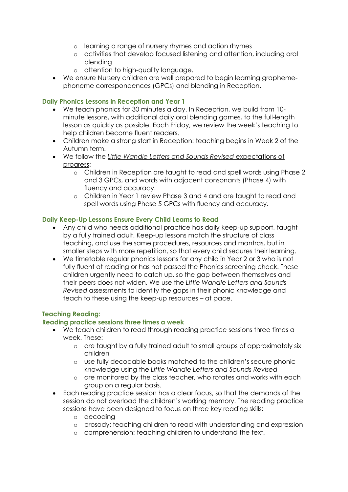- o learning a range of nursery rhymes and action rhymes
- o activities that develop focused listening and attention, including oral blending
- o attention to high-quality language.
- We ensure Nursery children are well prepared to begin learning graphemephoneme correspondences (GPCs) and blending in Reception.

#### **Daily Phonics Lessons in Reception and Year 1**

- We teach phonics for 30 minutes a day. In Reception, we build from 10 minute lessons, with additional daily oral blending games, to the full-length lesson as quickly as possible. Each Friday, we review the week's teaching to help children become fluent readers.
- Children make a strong start in Reception: teaching begins in Week 2 of the Autumn term.
- We follow the *[Little Wandle Letters and Sounds Revised](https://wandlelearningtrust.sharepoint.com/sites/WTSA2/Shared%20Documents/Forms/AllItems.aspx?csf=1&web=1&e=dA5Kg8&cid=c07c4b6e%2D7eff%2D4834%2Db0a2%2De34e77f1195a&FolderCTID=0x0120002B68E4606EDEEB42917E483D1520364F&id=%2Fsites%2FWTSA2%2FShared%20Documents%2FLetters%20and%20Sounds%2FLetters%20and%20Sounds%20Revised%2FSigned%20off%20files%2FProgramme%20Overview%5FReception%20and%20Year%201%2Epdf&parent=%2Fsites%2FWTSA2%2FShared%20Documents%2FLetters%20and%20Sounds%2FLetters%20and%20Sounds%20Revised%2FSigned%20off%20files)* expectations of [progress:](https://wandlelearningtrust.sharepoint.com/sites/WTSA2/Shared%20Documents/Forms/AllItems.aspx?csf=1&web=1&e=dA5Kg8&cid=c07c4b6e%2D7eff%2D4834%2Db0a2%2De34e77f1195a&FolderCTID=0x0120002B68E4606EDEEB42917E483D1520364F&id=%2Fsites%2FWTSA2%2FShared%20Documents%2FLetters%20and%20Sounds%2FLetters%20and%20Sounds%20Revised%2FSigned%20off%20files%2FProgramme%20Overview%5FReception%20and%20Year%201%2Epdf&parent=%2Fsites%2FWTSA2%2FShared%20Documents%2FLetters%20and%20Sounds%2FLetters%20and%20Sounds%20Revised%2FSigned%20off%20files)
	- o Children in Reception are taught to read and spell words using Phase 2 and 3 GPCs, and words with adjacent consonants (Phase 4) with fluency and accuracy.
	- o Children in Year 1 review Phase 3 and 4 and are taught to read and spell words using Phase 5 GPCs with fluency and accuracy.

#### **Daily Keep-Up Lessons Ensure Every Child Learns to Read**

- Any child who needs additional practice has daily keep-up support, taught by a fully trained adult. Keep-up lessons match the structure of class teaching, and use the same procedures, resources and mantras, but in smaller steps with more repetition, so that every child secures their learning.
- We timetable regular phonics lessons for any child in Year 2 or 3 who is not fully fluent at reading or has not passed the Phonics screening check. These children urgently need to catch up, so the gap between themselves and their peers does not widen. We use the *Little Wandle Letters and Sounds Revised* assessments to identify the gaps in their phonic knowledge and teach to these using the keep-up resources – at pace.

#### **Teaching Reading:**

#### **Reading practice sessions three times a week**

- We teach children to read through reading practice sessions three times a week. These:
	- o are taught by a fully trained adult to small groups of approximately six children
	- o use fully decodable books matched to the children's secure phonic knowledge using the *Little Wandle Letters and Sounds Revised*
	- o are monitored by the class teacher, who rotates and works with each group on a regular basis.
- Each reading practice session has a clear focus, so that the demands of the session do not overload the children's working memory. The reading practice sessions have been designed to focus on three key reading skills:
	- o decoding
	- o prosody: teaching children to read with understanding and expression
	- o comprehension: teaching children to understand the text.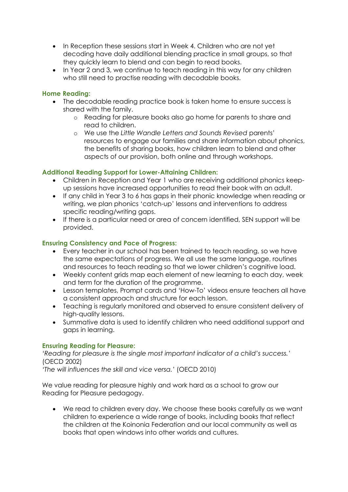- In Reception these sessions start in Week 4. Children who are not yet decoding have daily additional blending practice in small groups, so that they quickly learn to blend and can begin to read books.
- In Year 2 and 3, we continue to teach reading in this way for any children who still need to practise reading with decodable books.

#### **Home Reading:**

- The decodable reading practice book is taken home to ensure success is shared with the family.
	- o Reading for pleasure books also go home for parents to share and read to children.
	- o We use the *Little Wandle Letters and Sounds Revised* parents' resources to engage our families and share information about phonics, the benefits of sharing books, how children learn to blend and other aspects of our provision, both online and through workshops.

#### **Additional Reading Support for Lower-Attaining Children:**

- Children in Reception and Year 1 who are receiving additional phonics keepup sessions have increased opportunities to read their book with an adult.
- If any child in Year 3 to 6 has gaps in their phonic knowledge when reading or writing, we plan phonics 'catch-up' lessons and interventions to address specific reading/writing gaps.
- If there is a particular need or area of concern identified, SEN support will be provided.

#### **Ensuring Consistency and Pace of Progress:**

- Every teacher in our school has been trained to teach reading, so we have the same expectations of progress. We all use the same language, routines and resources to teach reading so that we lower children's cognitive load.
- Weekly content grids map each element of new learning to each day, week and term for the duration of the programme.
- Lesson templates, Prompt cards and 'How-To' videos ensure teachers all have a consistent approach and structure for each lesson.
- Teaching is regularly monitored and observed to ensure consistent delivery of high-quality lessons.
- Summative data is used to identify children who need additional support and gaps in learning.

#### **Ensuring Reading for Pleasure:**

*'Reading for pleasure is the single most important indicator of a child's success.'* (OECD 2002)

*'The will influences the skill and vice versa.'* (OECD 2010)

We value reading for pleasure highly and work hard as a school to grow our Reading for Pleasure pedagogy.

• We read to children every day. We choose these books carefully as we want children to experience a wide range of books, including books that reflect the children at the Koinonia Federation and our local community as well as books that open windows into other worlds and cultures.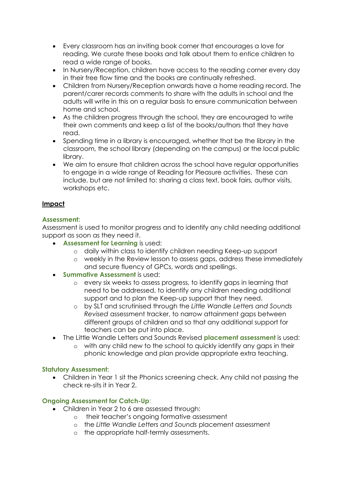- Every classroom has an inviting book corner that encourages a love for reading. We curate these books and talk about them to entice children to read a wide range of books.
- In Nursery/Reception, children have access to the reading corner every day in their free flow time and the books are continually refreshed.
- Children from Nursery/Reception onwards have a home reading record. The parent/carer records comments to share with the adults in school and the adults will write in this on a regular basis to ensure communication between home and school.
- As the children progress through the school, they are encouraged to write their own comments and keep a list of the books/authors that they have read.
- Spending time in a library is encouraged, whether that be the library in the classroom, the school library (depending on the campus) or the local public library.
- We aim to ensure that children across the school have regular opportunities to engage in a wide range of Reading for Pleasure activities. These can include, but are not limited to: sharing a class text, book fairs, author visits, workshops etc.

#### **Impact**

#### **Assessment:**

Assessment is used to monitor progress and to identify any child needing additional support as soon as they need it.

- **Assessment for Learning** is used:
	- o daily within class to identify children needing Keep-up support
	- o weekly in the Review lesson to assess gaps, address these immediately and secure fluency of GPCs, words and spellings.
- **Summative Assessment** is used:
	- o every six weeks to assess progress, to identify gaps in learning that need to be addressed, to identify any children needing additional support and to plan the Keep-up support that they need.
	- o by SLT and scrutinised through the *Little Wandle Letters and Sounds Revised* assessment tracker, to narrow attainment gaps between different groups of children and so that any additional support for teachers can be put into place.
- The Little Wandle Letters and Sounds Revised **placement assessment** is used:
	- o with any child new to the school to quickly identify any gaps in their phonic knowledge and plan provide appropriate extra teaching.

#### **Statutory Assessment:**

• Children in Year 1 sit the Phonics screening check. Any child not passing the check re-sits it in Year 2.

#### **Ongoing Assessment for Catch-Up**:

- Children in Year 2 to 6 are assessed through:
	- o their teacher's ongoing formative assessment
	- o the *Little Wandle Letters and Sounds* placement assessment
	- o the appropriate half-termly assessments.